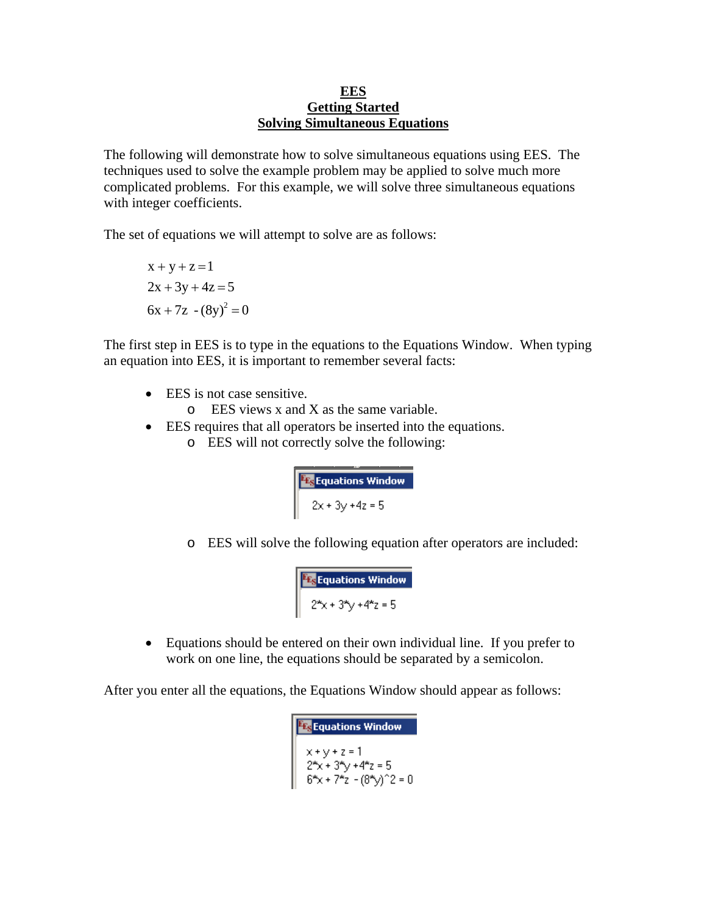## **EES Getting Started Solving Simultaneous Equations**

The following will demonstrate how to solve simultaneous equations using EES. The techniques used to solve the example problem may be applied to solve much more complicated problems. For this example, we will solve three simultaneous equations with integer coefficients.

The set of equations we will attempt to solve are as follows:

$$
x + y + z = 1
$$
  
2x + 3y + 4z = 5  
6x + 7z - (8y)<sup>2</sup> = 0

The first step in EES is to type in the equations to the Equations Window. When typing an equation into EES, it is important to remember several facts:

- EES is not case sensitive.
	- o EES views x and X as the same variable.
- EES requires that all operators be inserted into the equations.
	- o EES will not correctly solve the following:

```
Ex Equations Window<br>2x + 3y + 4z = 5
```
o EES will solve the following equation after operators are included:

```
Ex Equations Window<br>2^x x + 3^x y + 4^x z = 5
```
 Equations should be entered on their own individual line. If you prefer to work on one line, the equations should be separated by a semicolon.

After you enter all the equations, the Equations Window should appear as follows:

```
F<sub>s</sub> Equations Window<br>
x + y + z = 1<br>
2^{4}x + 3^{4}y + 4^{4}z = 5<br>
6^{4}x + 7^{4}z - (8^{4}y)^{2}z = 0
```